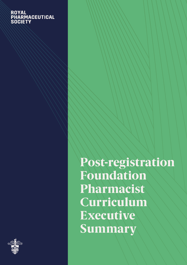### **ROYAL NOTAL**<br>PHARMACEUTICAL **SOCIETY**



Post-registration Foundation Pharmacist Curriculum Executive Summary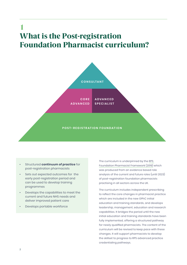## 1 What is the Post-registration Foundation Pharmacist curriculum?



- Structured **continuum of practice** for post-registration pharmacists
- Sets out expected outcomes for the early post-registration period and can be used to develop training programmes
- Develops the capabilities to meet the current and future NHS needs and deliver improved patient care
- Develops portable workforce

The curriculum is underpinned by the [RPS](https://www.rpharms.com/Portals/0/RPS%20document%20library/Open%20access/Foundation/RPS%20Foundation%20Pharmacy%20Framework.pdf?ver=2019-11-13-134125-950)  [Foundation Pharmacist Framework \(2019\)](https://www.rpharms.com/Portals/0/RPS%20document%20library/Open%20access/Foundation/RPS%20Foundation%20Pharmacy%20Framework.pdf?ver=2019-11-13-134125-950) which was produced from an evidence based role analysis of the current and future roles (until 2023) of post-registration foundation pharmacists practising in all sectors across the UK.

The curriculum includes independent prescribing to reflect the core changes in pharmacist practice which are included in the new GPhC initial education and training standards, and develops leadership, management, education and research capabilities. It bridges the period until the new initial education and training standards have been fully implemented, offering a structured pathway for newly qualified pharmacists. The content of the curriculum will be revised to keep pace with these changes. It will support pharmacists to develop the skillset to progress to RPS advanced practice credentialing pathways.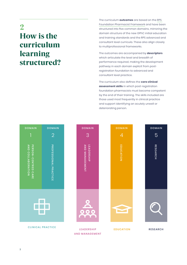## 2 How is the curriculum learning structured?

The curriculum **outcomes** are based on the [RPS](https://www.rpharms.com/Portals/0/RPS%20document%20library/Open%20access/Foundation/RPS%20Foundation%20Pharmacy%20Framework.pdf?ver=2019-11-13-134125-950)  [Foundation Pharmacist Framework](https://www.rpharms.com/Portals/0/RPS%20document%20library/Open%20access/Foundation/RPS%20Foundation%20Pharmacy%20Framework.pdf?ver=2019-11-13-134125-950) and have been structured into five common domains, mirroring the domain structure of the new GPhC initial education and training standards and the RPS advanced and consultant level curricula. These also align closely to multiprofessional frameworks.

The outcomes are accompanied by **descriptors** which articulate the level and breadth of performance required, making the development pathway in each domain explicit from postregistration foundation to advanced and consultant level practice.

The curriculum also defines the **core clinical assessment skills** in which post-registration foundation pharmacists must become competent by the end of their training. The skills included are those used most frequently in clinical practice and support identifying an acutely unwell or deteriorating person.

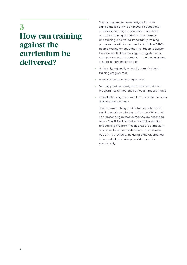3 How can training against the curriculum be delivered?

The curriculum has been designed to offer significant flexibility to employers, educational commissioners, higher education institutions and other training providers in how learning and training is delivered. Importantly, training programmes will always need to include a GPhCaccredited higher education institution to deliver the independent prescribing training elements. Examples of how the curriculum could be delivered include, but are not limited to:

- Nationally, regionally or locally commissioned training programmes
- Employer led training programmes
- Training providers design and market their own programmes to meet the curriculum requirements
- Individuals using the curriculum to create their own development pathway

The two overarching models for education and training provision relating to the prescribing and non-prescribing related outcomes are described below. The RPS will not deliver formal education and training programmes against the curriculum outcomes for either model; this will be delivered by training providers, including GPhC-accredited independent prescribing providers, and/or vocationally.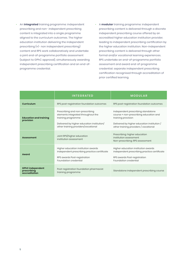- An **integrated** training programme: independent prescribing and non- independent prescribing content is integrated into a single programme aligned to the curriculum outcomes. The higher education institution delivering the independent prescribing (+/- non independent prescribing) content and RPS work collaboratively and undertake a joint end-of-programme portfolio assessment (subject to GPhC approval), simultaneously awarding independent prescribing certification and an end-ofprogramme credential.
- A **modular** training programme: independent prescribing content is delivered through a discrete independent prescribing course offered by an accredited higher education institution provider, leading to independent prescribing certification by the higher education institution. Non-independent prescribing content is delivered through other formal and/or vocational learning experiences. RPS undertake an end-of-programme portfolio assessment and award end-of-programme credential; separate independent prescribing certification recognised through accreditation of prior certified learning.

|                                                         | <b>INTEGRATED</b>                                                                                                                                                                | <b>MODULAR</b>                                                                                                                                                                             |
|---------------------------------------------------------|----------------------------------------------------------------------------------------------------------------------------------------------------------------------------------|--------------------------------------------------------------------------------------------------------------------------------------------------------------------------------------------|
| Curriculum                                              | RPS post-registration foundation outcomes                                                                                                                                        | RPS post-registration foundation outcomes                                                                                                                                                  |
| <b>Education and training</b><br>provision              | Prescribing and non-prescribing<br>elements integrated throughout the<br>training programme<br>Delivered by higher education institution/<br>other training providers/vocational | Independent prescribing standalone<br>course + non-prescribing education and<br>training provision<br>Delivered by higher education institution /<br>other training providers / vocational |
| <b>Assessment</b>                                       | Joint RPS/higher education<br>institution assessment                                                                                                                             | Prescribing: higher education<br>institution assessment<br>Non-prescribing: RPS assessment                                                                                                 |
| Award                                                   | Higher education institution awards<br>independent prescribing practice certificate<br>RPS awards Post-registration<br>Foundation credential                                     | Higher education institution awards<br>independent prescribing practice certificate<br>RPS awards Post-registration<br>Foundation credential                                               |
| <b>GPhC independent</b><br>prescribing<br>accreditation | Post-registration foundation pharmacist<br>training programme                                                                                                                    | Standalone independent prescribing course                                                                                                                                                  |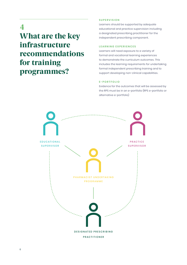4

## What are the key infrastructure recommendations for training programmes?

#### **SUPERVISION**

Learners should be supported by adequate educational and practice supervision including a designated prescribing practitioner for the independent prescribing component.

#### **LEARNING EXPERIENCES**

Learners will need exposure to a variety of formal and vocational learning experiences to demonstrate the curriculum outcomes. This includes the learning requirements for undertaking formal independent prescribing training and to support developing non-clinical capabilities.

#### **E - P O R T F O L I O**

Evidence for the outcomes that will be assessed by the RPS must be in an e-portfolio (RPS e-portfolio or alternative e-portfolio)

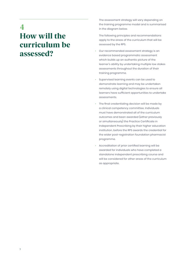## 4 How will the curriculum be assessed?

The assessment strategy will vary depending on the training programme model and is summarised in the diagram below.

The following principles and recommendations apply to the areas of the curriculum that will be assessed by the RPS.

- Our recommended assessment strategy is an evidence based programmatic assessment which builds up an authentic picture of the learner's ability by undertaking multiple low stakes assessments throughout the duration of their training programme.
- Supervised learning events can be used to demonstrate learning and may be undertaken remotely using digital technologies to ensure all learners have sufficient opportunities to undertake assessments.
- The final credentialing decision will be made by a clinical competency committee. Individuals must have demonstrated all of the curriculum outcomes and been awarded (either previously or simultaneously) the Practice Certificate in Independent Prescribing by their higher education institution, before the RPS awards the credential for the wider post-registration foundation pharmacist programme.
- Accreditation of prior certified learning will be awarded for individuals who have completed a standalone independent prescribing course and will be considered for other areas of the curriculum as appropriate.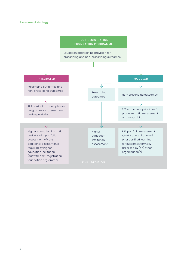